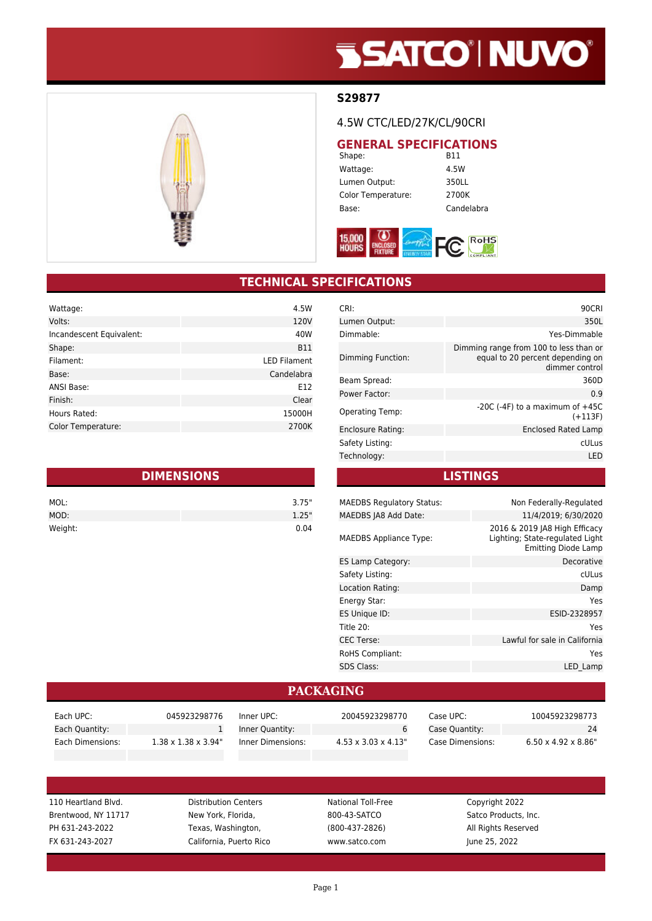# **SSATCO' NUVO'**



#### **S29877**

4.5W CTC/LED/27K/CL/90CRI

### **GENERAL SPECIFICATIONS**<br>B11

Shape: Wattage: 4.5W Lumen Output: 350LL Color Temperature: 2700K Base: Candelabra



#### **TECHNICAL SPECIFICATIONS**

| Wattage:                 | 4.5W                |
|--------------------------|---------------------|
| Volts:                   | 120V                |
| Incandescent Equivalent: | 40W                 |
| Shape:                   | <b>B11</b>          |
| Filament:                | <b>LED Filament</b> |
| Base:                    | Candelabra          |
| ANSI Base:               | E12                 |
| Finish:                  | Clear               |
| Hours Rated:             | 15000H              |
| Color Temperature:       | 2700K               |

| <b>DIMENSIONS</b> |       |  |
|-------------------|-------|--|
| MOL:              | 3.75" |  |
| MOD:              | 1.25" |  |
| Weight:           | 0.04  |  |

| CRI:                   | 90CRI                                                                                        |
|------------------------|----------------------------------------------------------------------------------------------|
| Lumen Output:          | 350L                                                                                         |
| Dimmable:              | Yes-Dimmable                                                                                 |
| Dimming Function:      | Dimming range from 100 to less than or<br>equal to 20 percent depending on<br>dimmer control |
| Beam Spread:           | 360D                                                                                         |
| Power Factor:          | 0.9                                                                                          |
| <b>Operating Temp:</b> | $-20C$ ( $-4F$ ) to a maximum of $+45C$<br>$(+113F)$                                         |
| Enclosure Rating:      | Enclosed Rated Lamp                                                                          |
| Safety Listing:        | cULus                                                                                        |
| Technology:            | LED                                                                                          |

**LISTINGS**

| <b>MAEDBS Regulatory Status:</b> | Non Federally-Regulated                                                                        |
|----------------------------------|------------------------------------------------------------------------------------------------|
| MAEDBS JA8 Add Date:             | 11/4/2019: 6/30/2020                                                                           |
| <b>MAEDBS Appliance Type:</b>    | 2016 & 2019 JA8 High Efficacy<br>Lighting; State-regulated Light<br><b>Emitting Diode Lamp</b> |
| ES Lamp Category:                | Decorative                                                                                     |
| Safety Listing:                  | cULus                                                                                          |
| Location Rating:                 | Damp                                                                                           |
| Energy Star:                     | Yes                                                                                            |
| ES Unique ID:                    | ESID-2328957                                                                                   |
| Title 20:                        | Yes                                                                                            |
| <b>CEC Terse:</b>                | Lawful for sale in California                                                                  |
| <b>RoHS Compliant:</b>           | Yes                                                                                            |
| <b>SDS Class:</b>                | LED Lamp                                                                                       |
|                                  |                                                                                                |

#### **PACKAGING**

| Each UPC:        | 045923298776                     | Inner UPC:        | 20045923298770                   | Case UPC: l      | 10045923298773                   |
|------------------|----------------------------------|-------------------|----------------------------------|------------------|----------------------------------|
| Each Quantity:   |                                  | Inner Quantity:   |                                  | Case Quantity:   | 24                               |
| Each Dimensions: | $1.38 \times 1.38 \times 3.94$ " | Inner Dimensions: | $4.53 \times 3.03 \times 4.13$ " | Case Dimensions: | $6.50 \times 4.92 \times 8.86$ " |

110 Heartland Blvd. Distribution Centers National Toll-Free Copyright 2022 Brentwood, NY 11717 New York, Florida, 800-43-SATCO Satco Products, Inc. PH 631-243-2022 Texas, Washington, (800-437-2826) All Rights Reserved FX 631-243-2027 California, Puerto Rico www.satco.com June 25, 2022